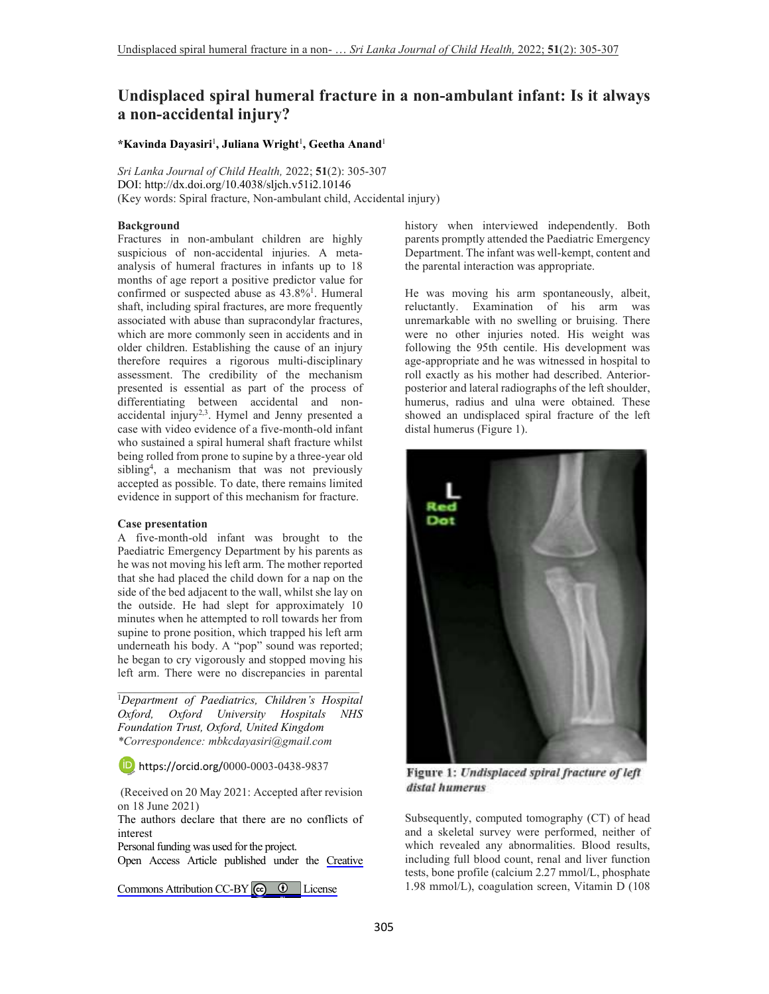# **Undisplaced spiral humeral fracture in a non-ambulant infant: Is it always a non-accidental injury?**

## **\*Kavinda Dayasiri**<sup>1</sup> **, Juliana Wright**<sup>1</sup> **, Geetha Anand**<sup>1</sup>

*Sri Lanka Journal of Child Health,* 2022; **51**(2): 305-307 DOI: http://dx.doi.org/10.4038/sljch.v51i2.10146 (Key words: Spiral fracture, Non-ambulant child, Accidental injury)

## **Background**

Fractures in non-ambulant children are highly suspicious of non-accidental injuries. A metaanalysis of humeral fractures in infants up to 18 months of age report a positive predictor value for confirmed or suspected abuse as 43.8%<sup>1</sup>. Humeral shaft, including spiral fractures, are more frequently associated with abuse than supracondylar fractures, which are more commonly seen in accidents and in older children. Establishing the cause of an injury therefore requires a rigorous multi-disciplinary assessment. The credibility of the mechanism presented is essential as part of the process of differentiating between accidental and nonaccidental injury<sup>2,3</sup>. Hymel and Jenny presented a case with video evidence of a five-month-old infant who sustained a spiral humeral shaft fracture whilst being rolled from prone to supine by a three-year old sibling<sup>4</sup> , a mechanism that was not previously accepted as possible. To date, there remains limited evidence in support of this mechanism for fracture.

#### **Case presentation**

A five-month-old infant was brought to the Paediatric Emergency Department by his parents as he was not moving his left arm. The mother reported that she had placed the child down for a nap on the side of the bed adjacent to the wall, whilst she lay on the outside. He had slept for approximately 10 minutes when he attempted to roll towards her from supine to prone position, which trapped his left arm underneath his body. A "pop" sound was reported; he began to cry vigorously and stopped moving his left arm. There were no discrepancies in parental

<sup>1</sup>*Department of Paediatrics, Children's Hospital Oxford, Oxford University Hospitals NHS Foundation Trust, Oxford, United Kingdom \*Correspondence: mbkcdayasiri@gmail.com*

\_\_\_\_\_\_\_\_\_\_\_\_\_\_\_\_\_\_\_\_\_\_\_\_\_\_\_\_\_\_\_\_\_\_\_\_\_\_\_\_\_

https://orcid.org/0000-0003-0438-9837

 (Received on 20 May 2021: Accepted after revision on 18 June 2021)

The authors declare that there are no conflicts of interest

Personal funding was used for the project.

Open Access Article published under the [Creative](https://creativecommons.org/licenses/by/4.0/) 

Commons Attribution CC-BY  $\bigcirc$   $\bullet$  License

history when interviewed independently. Both parents promptly attended the Paediatric Emergency Department. The infant was well-kempt, content and the parental interaction was appropriate.

He was moving his arm spontaneously, albeit, reluctantly. Examination of his arm was unremarkable with no swelling or bruising. There were no other injuries noted. His weight was following the 95th centile. His development was age-appropriate and he was witnessed in hospital to roll exactly as his mother had described. Anteriorposterior and lateral radiographs of the left shoulder, humerus, radius and ulna were obtained. These showed an undisplaced spiral fracture of the left distal humerus (Figure 1).



Figure 1: Undisplaced spiral fracture of left distal humerus

Subsequently, computed tomography (CT) of head and a skeletal survey were performed, neither of which revealed any abnormalities. Blood results, including full blood count, renal and liver function tests, bone profile (calcium 2.27 mmol/L, phosphate 1.98 mmol/L), coagulation screen, Vitamin D (108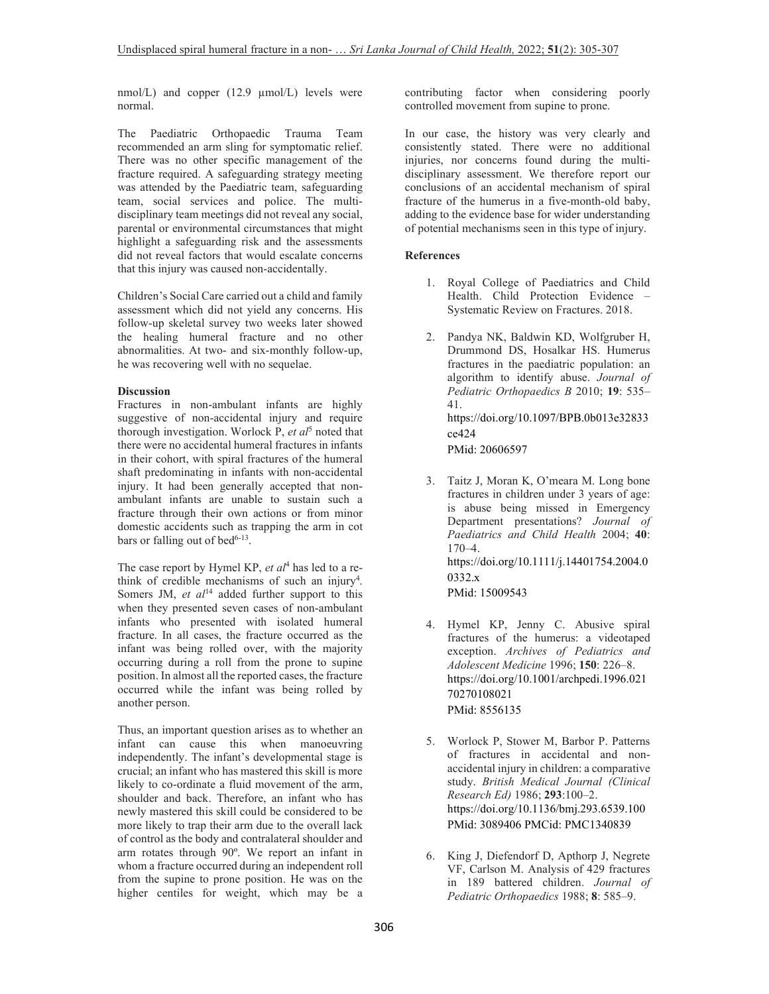nmol/L) and copper (12.9 µmol/L) levels were normal.

The Paediatric Orthopaedic Trauma Team recommended an arm sling for symptomatic relief. There was no other specific management of the fracture required. A safeguarding strategy meeting was attended by the Paediatric team, safeguarding team, social services and police. The multidisciplinary team meetings did not reveal any social, parental or environmental circumstances that might highlight a safeguarding risk and the assessments did not reveal factors that would escalate concerns that this injury was caused non-accidentally.

Children's Social Care carried out a child and family assessment which did not yield any concerns. His follow-up skeletal survey two weeks later showed the healing humeral fracture and no other abnormalities. At two- and six-monthly follow-up, he was recovering well with no sequelae.

## **Discussion**

Fractures in non-ambulant infants are highly suggestive of non-accidental injury and require thorough investigation. Worlock P, *et al*<sup>5</sup> noted that there were no accidental humeral fractures in infants in their cohort, with spiral fractures of the humeral shaft predominating in infants with non-accidental injury. It had been generally accepted that nonambulant infants are unable to sustain such a fracture through their own actions or from minor domestic accidents such as trapping the arm in cot bars or falling out of bed<sup>6-13</sup>.

The case report by Hymel KP, *et al*<sup>4</sup> has led to a rethink of credible mechanisms of such an injury<sup>4</sup>. Somers JM, *et al*<sup>14</sup> added further support to this when they presented seven cases of non-ambulant infants who presented with isolated humeral fracture. In all cases, the fracture occurred as the infant was being rolled over, with the majority occurring during a roll from the prone to supine position. In almost all the reported cases, the fracture occurred while the infant was being rolled by another person.

Thus, an important question arises as to whether an infant can cause this when manoeuvring independently. The infant's developmental stage is crucial; an infant who has mastered this skill is more likely to co-ordinate a fluid movement of the arm, shoulder and back. Therefore, an infant who has newly mastered this skill could be considered to be more likely to trap their arm due to the overall lack of control as the body and contralateral shoulder and arm rotates through 90º. We report an infant in whom a fracture occurred during an independent roll from the supine to prone position. He was on the higher centiles for weight, which may be a

contributing factor when considering poorly controlled movement from supine to prone.

In our case, the history was very clearly and consistently stated. There were no additional injuries, nor concerns found during the multidisciplinary assessment. We therefore report our conclusions of an accidental mechanism of spiral fracture of the humerus in a five-month-old baby, adding to the evidence base for wider understanding of potential mechanisms seen in this type of injury.

### **References**

- 1. Royal College of Paediatrics and Child Health. Child Protection Evidence – Systematic Review on Fractures. 2018.
- 2. Pandya NK, Baldwin KD, Wolfgruber H, Drummond DS, Hosalkar HS. Humerus fractures in the paediatric population: an algorithm to identify abuse. *Journal of Pediatric Orthopaedics B* 2010; **19**: 535– 41. https://doi.org/10.1097/BPB.0b013e32833 ce424

PMid: 20606597

3. Taitz J, Moran K, O'meara M. Long bone fractures in children under 3 years of age: is abuse being missed in Emergency Department presentations? *Journal of Paediatrics and Child Health* 2004; **40**: 170–4. https://doi.org/10.1111/j.14401754.2004.0 0332.x

PMid: 15009543

- 4. Hymel KP, Jenny C. Abusive spiral fractures of the humerus: a videotaped exception. *Archives of Pediatrics and Adolescent Medicine* 1996; **150**: 226–8. https://doi.org/10.1001/archpedi.1996.021 70270108021 PMid: 8556135
- 5. Worlock P, Stower M, Barbor P. Patterns of fractures in accidental and nonaccidental injury in children: a comparative study. *British Medical Journal (Clinical Research Ed)* 1986; **293**:100–2. https://doi.org/10.1136/bmj.293.6539.100 PMid: 3089406 PMCid: PMC1340839
- 6. King J, Diefendorf D, Apthorp J, Negrete VF, Carlson M. Analysis of 429 fractures in 189 battered children. *Journal of Pediatric Orthopaedics* 1988; **8**: 585–9.